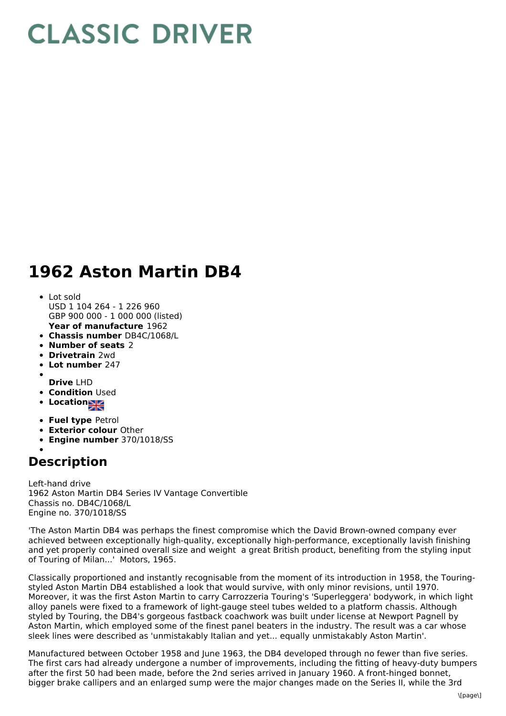## **CLASSIC DRIVER**

## **1962 Aston Martin DB4**

- **Year of manufacture** 1962 Lot sold USD 1 104 264 - 1 226 960 GBP 900 000 - 1 000 000 (listed)
- **Chassis number** DB4C/1068/L
- **Number of seats** 2
- **Drivetrain** 2wd
- **Lot number** 247
- 
- **Drive** LHD
- **Condition Used**
- **Location**
- **Fuel type** Petrol
- **Exterior colour** Other
- **Engine number** 370/1018/SS

## **Description**

Left-hand drive 1962 Aston Martin DB4 Series IV Vantage Convertible Chassis no. DB4C/1068/L Engine no. 370/1018/SS

'The Aston Martin DB4 was perhaps the finest compromise which the David Brown-owned company ever achieved between exceptionally high-quality, exceptionally high-performance, exceptionally lavish finishing and yet properly contained overall size and weight a great British product, benefiting from the styling input of Touring of Milan...' Motors, 1965.

Classically proportioned and instantly recognisable from the moment of its introduction in 1958, the Touringstyled Aston Martin DB4 established a look that would survive, with only minor revisions, until 1970. Moreover, it was the first Aston Martin to carry Carrozzeria Touring's 'Superleggera' bodywork, in which light alloy panels were fixed to a framework of light-gauge steel tubes welded to a platform chassis. Although styled by Touring, the DB4's gorgeous fastback coachwork was built under license at Newport Pagnell by Aston Martin, which employed some of the finest panel beaters in the industry. The result was a car whose sleek lines were described as 'unmistakably Italian and yet... equally unmistakably Aston Martin'.

Manufactured between October 1958 and June 1963, the DB4 developed through no fewer than five series. The first cars had already undergone a number of improvements, including the fitting of heavy-duty bumpers after the first 50 had been made, before the 2nd series arrived in January 1960. A front-hinged bonnet, bigger brake callipers and an enlarged sump were the major changes made on the Series II, while the 3rd